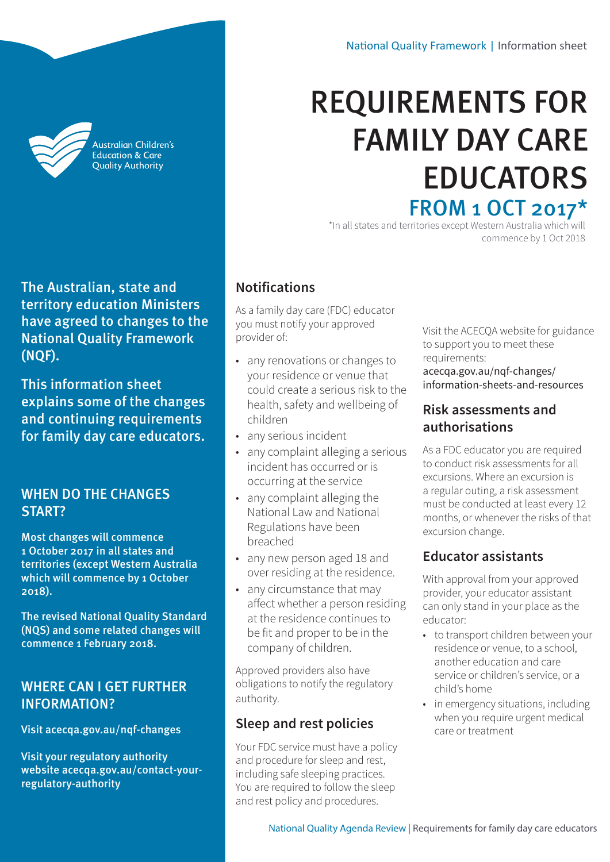Australian Children's **Education & Care Quality Authority** 

The Australian, state and territory education Ministers have agreed to changes to the National Quality Framework (NQF).

This information sheet explains some of the changes and continuing requirements for family day care educators.

#### WHEN DO THE CHANGES START?

Most changes will commence 1 October 2017 in all states and territories (except Western Australia which will commence by 1 October 2018).

The revised National Quality Standard (NQS) and some related changes will commence 1 February 2018.

# WHERE CAN I GET FURTHER INFORMATION?

Visit [acecqa.gov.au/nqf-changes](http://acecqa.gov.au/nqf-changes) 

Visit your regulatory authority website [acecqa.gov.au/contact-your](http://acecqa.gov.au/contact-your-regulatory-authority)[regulatory-authority](http://acecqa.gov.au/contact-your-regulatory-authority)

# REQUIREMENTS FOR FAMILY DAY CARE EDUCATORS FROM 1 OCT 2017\*

\*In all states and territories except Western Australia which will commence by 1 Oct 2018

# **Notifications**

As a family day care (FDC) educator you must notify your approved provider of:

- any renovations or changes to your residence or venue that could create a serious risk to the health, safety and wellbeing of children
- any serious incident
- any complaint alleging a serious incident has occurred or is occurring at the service
- any complaint alleging the National Law and National Regulations have been breached
- any new person aged 18 and over residing at the residence.
- any circumstance that may affect whether a person residing at the residence continues to be fit and proper to be in the company of children.

Approved providers also have obligations to notify the regulatory authority.

# **Sleep and rest policies**

Your FDC service must have a policy and procedure for sleep and rest, including safe sleeping practices. You are required to follow the sleep and rest policy and procedures.

Visit the ACECQA website for guidance to support you to meet these requirements: [acecqa.gov.au/nqf-changes/](http://acecqa.gov.au/nqf-changes/information-sheets-and-resources) [information-sheets-and-resources](http://acecqa.gov.au/nqf-changes/information-sheets-and-resources)

### **Risk assessments and authorisations**

As a FDC educator you are required to conduct risk assessments for all excursions. Where an excursion is a regular outing, a risk assessment must be conducted at least every 12 months, or whenever the risks of that excursion change.

# **Educator assistants**

With approval from your approved provider, your educator assistant can only stand in your place as the educator:

- to transport children between your residence or venue, to a school, another education and care service or children's service, or a child's home
- in emergency situations, including when you require urgent medical care or treatment